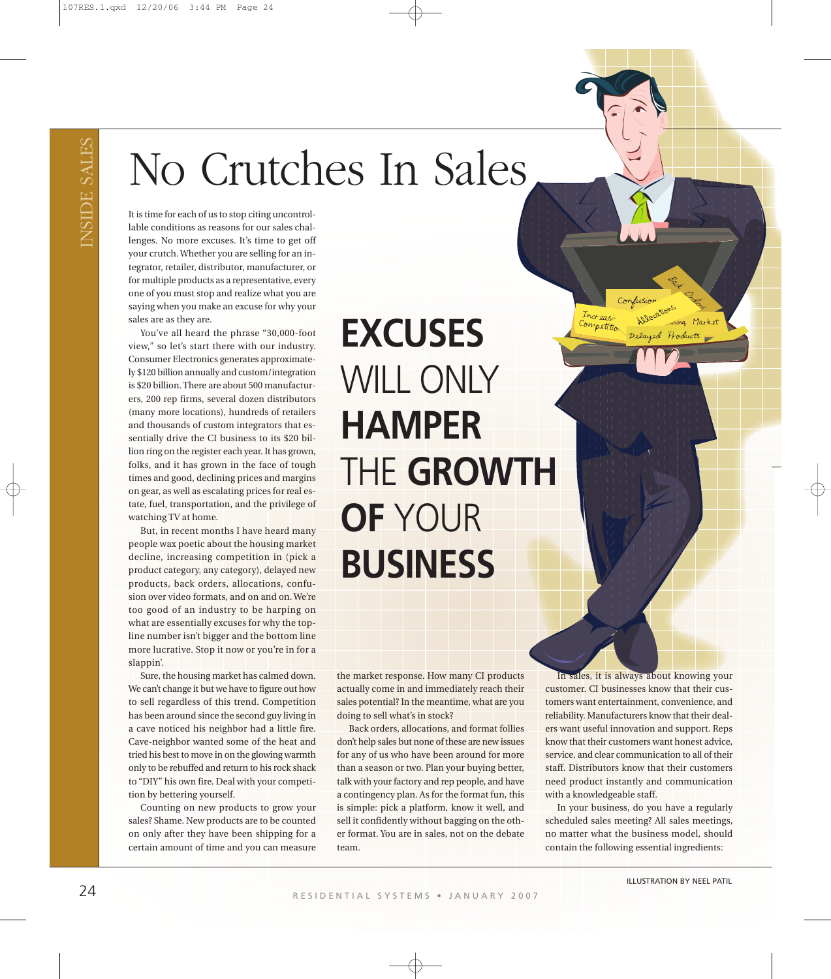# No Crutches In Sales

It is time for each of us to stop citing uncontrollable conditions as reasons for our sales challenges. No more excuses. It's time to get off your crutch. Whether you are selling for an integrator, retailer, distributor, manufacturer, or for multiple products as a representative, every one of you must stop and realize what you are saying when you make an excuse for why your sales are as they are.

You've all heard the phrase "30,000-foot view," so let's start there with our industry. Consumer Electronics generates approximately \$120 billion annually and custom/integration is \$20 billion. There are about 500 manufacturers, 200 rep firms, several dozen distributors (many more locations), hundreds of retailers and thousands of custom integrators that essentially drive the CI business to its \$20 billion ring on the register each year. It has grown, folks, and it has grown in the face of tough times and good, declining prices and margins on gear, as well as escalating prices for real estate, fuel, transportation, and the privilege of watching TV at home.

But, in recent months I have heard many people wax poetic about the housing market decline, increasing competition in (pick a product category, any category), delayed new products, back orders, allocations, confusion over video formats, and on and on. We're too good of an industry to be harping on what are essentially excuses for why the topline number isn't bigger and the bottom line more lucrative. Stop it now or you're in for a slappin'.

Sure, the housing market has calmed down. We can't change it but we have to figure out how to sell regardless of this trend. Competition has been around since the second guy living in a cave noticed his neighbor had a little fire. Cave-neighbor wanted some of the heat and tried his best to move in on the glowing warmth only to be rebuffed and return to his rock shack to "DIY" his own fire. Deal with your competition by bettering yourself.

Counting on new products to grow your sales? Shame. New products are to be counted on only after they have been shipping for a certain amount of time and you can measure

## **EXCUSES** WILL ONLY **HAMPER**  THE **GROWTH OF** YOUR **BUSINESS**

the market response. How many CI products actually come in and immediately reach their sales potential? In the meantime, what are you doing to sell what's in stock?

Back orders, allocations, and format follies don't help sales but none of these are new issues for any of us who have been around for more than a season or two. Plan your buying better, talk with your factory and rep people, and have a contingency plan. As for the format fun, this is simple: pick a platform, know it well, and sell it confidently without bagging on the other format. You are in sales, not on the debate team.

In sales, it is always about knowing your customer. CI businesses know that their customers want entertainment, convenience, and reliability. Manufacturers know that their dealers want useful innovation and support. Reps know that their customers want honest advice, service, and clear communication to all of their staff. Distributors know that their customers need product instantly and communication with a knowledgeable staff.

Confusion

using Market

Delayed Products

Increasin

Competition

In your business, do you have a regularly scheduled sales meeting? All sales meetings, no matter what the business model, should contain the following essential ingredients: